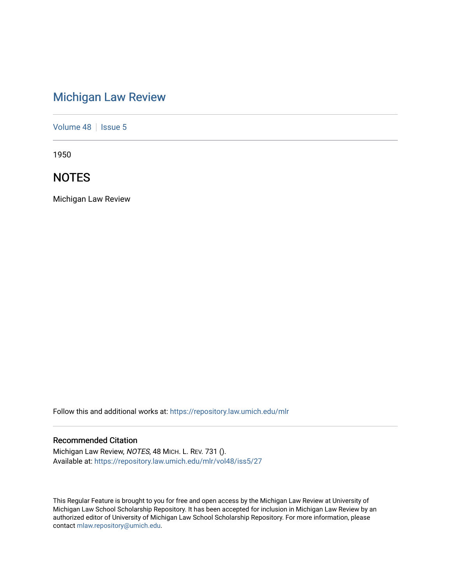# [Michigan Law Review](https://repository.law.umich.edu/mlr)

[Volume 48](https://repository.law.umich.edu/mlr/vol48) | [Issue 5](https://repository.law.umich.edu/mlr/vol48/iss5)

1950

# **NOTES**

Michigan Law Review

Follow this and additional works at: [https://repository.law.umich.edu/mlr](https://repository.law.umich.edu/mlr?utm_source=repository.law.umich.edu%2Fmlr%2Fvol48%2Fiss5%2F27&utm_medium=PDF&utm_campaign=PDFCoverPages) 

# Recommended Citation

Michigan Law Review, NOTES, 48 MICH. L. REV. 731 (). Available at: [https://repository.law.umich.edu/mlr/vol48/iss5/27](https://repository.law.umich.edu/mlr/vol48/iss5/27?utm_source=repository.law.umich.edu%2Fmlr%2Fvol48%2Fiss5%2F27&utm_medium=PDF&utm_campaign=PDFCoverPages) 

This Regular Feature is brought to you for free and open access by the Michigan Law Review at University of Michigan Law School Scholarship Repository. It has been accepted for inclusion in Michigan Law Review by an authorized editor of University of Michigan Law School Scholarship Repository. For more information, please contact [mlaw.repository@umich.edu](mailto:mlaw.repository@umich.edu).